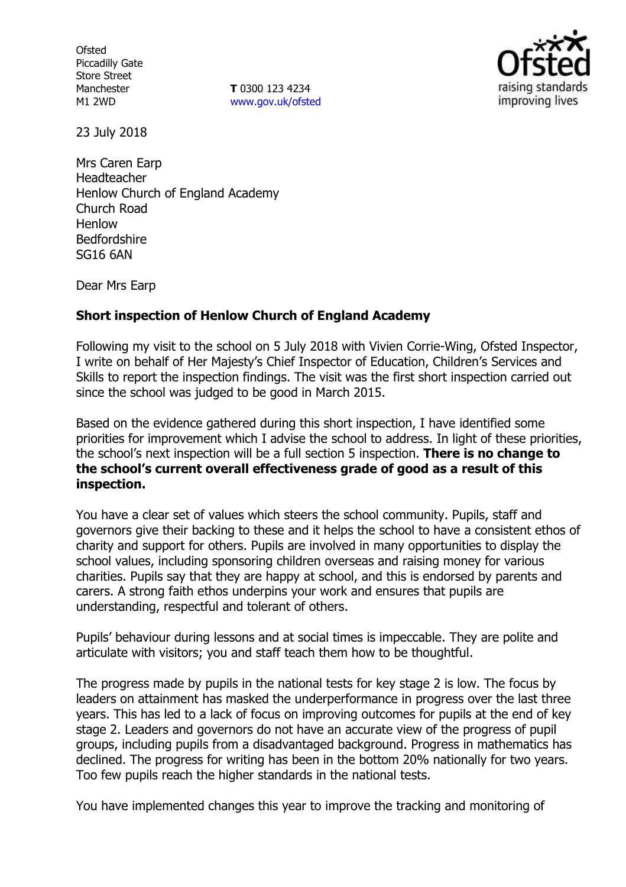**Ofsted** Piccadilly Gate Store Street Manchester M1 2WD

**T** 0300 123 4234 www.gov.uk/ofsted



23 July 2018

Mrs Caren Earp Headteacher Henlow Church of England Academy Church Road Henlow Bedfordshire SG16 6AN

Dear Mrs Earp

# **Short inspection of Henlow Church of England Academy**

Following my visit to the school on 5 July 2018 with Vivien Corrie-Wing, Ofsted Inspector, I write on behalf of Her Majesty's Chief Inspector of Education, Children's Services and Skills to report the inspection findings. The visit was the first short inspection carried out since the school was judged to be good in March 2015.

Based on the evidence gathered during this short inspection, I have identified some priorities for improvement which I advise the school to address. In light of these priorities, the school's next inspection will be a full section 5 inspection. **There is no change to the school's current overall effectiveness grade of good as a result of this inspection.**

You have a clear set of values which steers the school community. Pupils, staff and governors give their backing to these and it helps the school to have a consistent ethos of charity and support for others. Pupils are involved in many opportunities to display the school values, including sponsoring children overseas and raising money for various charities. Pupils say that they are happy at school, and this is endorsed by parents and carers. A strong faith ethos underpins your work and ensures that pupils are understanding, respectful and tolerant of others.

Pupils' behaviour during lessons and at social times is impeccable. They are polite and articulate with visitors; you and staff teach them how to be thoughtful.

The progress made by pupils in the national tests for key stage 2 is low. The focus by leaders on attainment has masked the underperformance in progress over the last three years. This has led to a lack of focus on improving outcomes for pupils at the end of key stage 2. Leaders and governors do not have an accurate view of the progress of pupil groups, including pupils from a disadvantaged background. Progress in mathematics has declined. The progress for writing has been in the bottom 20% nationally for two years. Too few pupils reach the higher standards in the national tests.

You have implemented changes this year to improve the tracking and monitoring of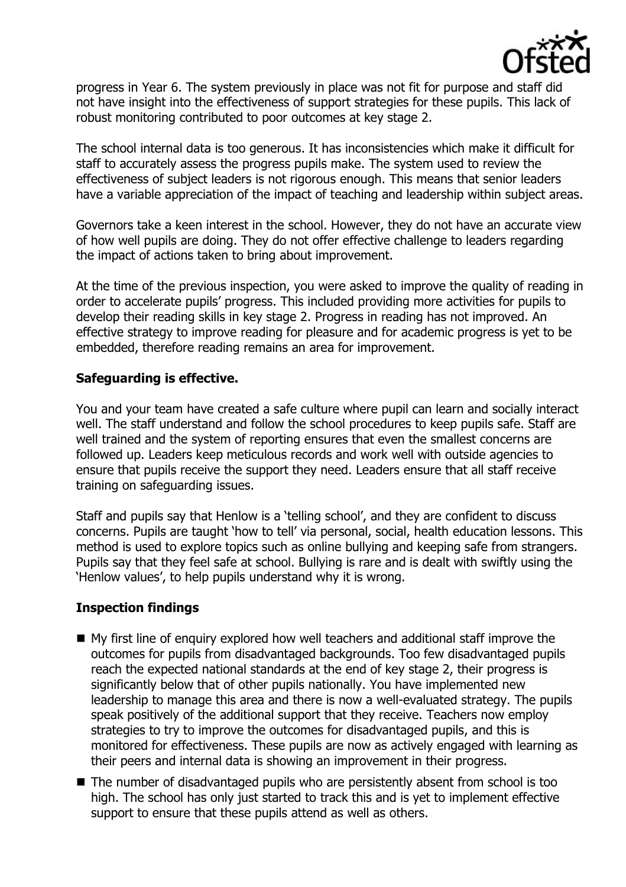

progress in Year 6. The system previously in place was not fit for purpose and staff did not have insight into the effectiveness of support strategies for these pupils. This lack of robust monitoring contributed to poor outcomes at key stage 2.

The school internal data is too generous. It has inconsistencies which make it difficult for staff to accurately assess the progress pupils make. The system used to review the effectiveness of subject leaders is not rigorous enough. This means that senior leaders have a variable appreciation of the impact of teaching and leadership within subject areas.

Governors take a keen interest in the school. However, they do not have an accurate view of how well pupils are doing. They do not offer effective challenge to leaders regarding the impact of actions taken to bring about improvement.

At the time of the previous inspection, you were asked to improve the quality of reading in order to accelerate pupils' progress. This included providing more activities for pupils to develop their reading skills in key stage 2. Progress in reading has not improved. An effective strategy to improve reading for pleasure and for academic progress is yet to be embedded, therefore reading remains an area for improvement.

# **Safeguarding is effective.**

You and your team have created a safe culture where pupil can learn and socially interact well. The staff understand and follow the school procedures to keep pupils safe. Staff are well trained and the system of reporting ensures that even the smallest concerns are followed up. Leaders keep meticulous records and work well with outside agencies to ensure that pupils receive the support they need. Leaders ensure that all staff receive training on safeguarding issues.

Staff and pupils say that Henlow is a 'telling school', and they are confident to discuss concerns. Pupils are taught 'how to tell' via personal, social, health education lessons. This method is used to explore topics such as online bullying and keeping safe from strangers. Pupils say that they feel safe at school. Bullying is rare and is dealt with swiftly using the 'Henlow values', to help pupils understand why it is wrong.

# **Inspection findings**

- My first line of enquiry explored how well teachers and additional staff improve the outcomes for pupils from disadvantaged backgrounds. Too few disadvantaged pupils reach the expected national standards at the end of key stage 2, their progress is significantly below that of other pupils nationally. You have implemented new leadership to manage this area and there is now a well-evaluated strategy. The pupils speak positively of the additional support that they receive. Teachers now employ strategies to try to improve the outcomes for disadvantaged pupils, and this is monitored for effectiveness. These pupils are now as actively engaged with learning as their peers and internal data is showing an improvement in their progress.
- The number of disadvantaged pupils who are persistently absent from school is too high. The school has only just started to track this and is yet to implement effective support to ensure that these pupils attend as well as others.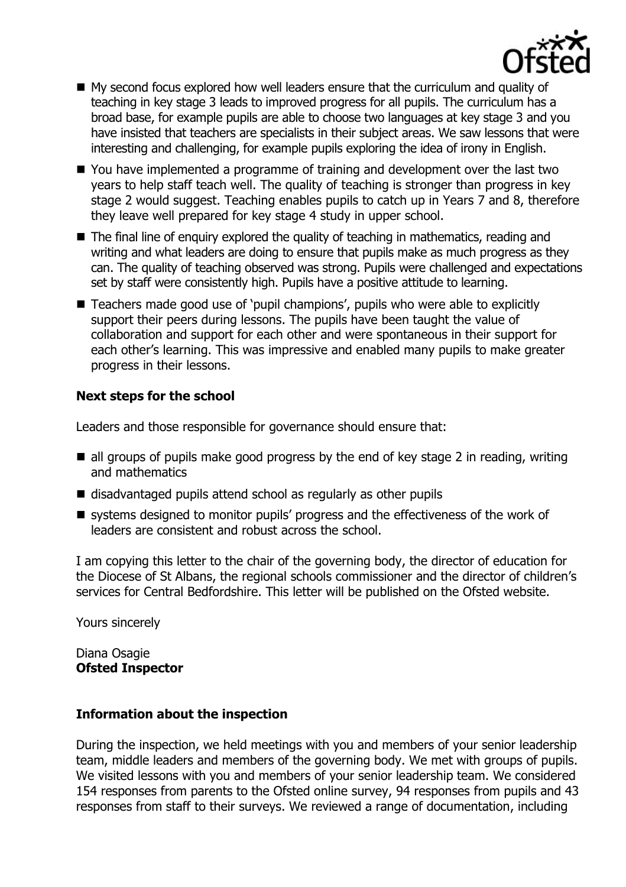

- My second focus explored how well leaders ensure that the curriculum and quality of teaching in key stage 3 leads to improved progress for all pupils. The curriculum has a broad base, for example pupils are able to choose two languages at key stage 3 and you have insisted that teachers are specialists in their subject areas. We saw lessons that were interesting and challenging, for example pupils exploring the idea of irony in English.
- You have implemented a programme of training and development over the last two years to help staff teach well. The quality of teaching is stronger than progress in key stage 2 would suggest. Teaching enables pupils to catch up in Years 7 and 8, therefore they leave well prepared for key stage 4 study in upper school.
- The final line of enquiry explored the quality of teaching in mathematics, reading and writing and what leaders are doing to ensure that pupils make as much progress as they can. The quality of teaching observed was strong. Pupils were challenged and expectations set by staff were consistently high. Pupils have a positive attitude to learning.
- Teachers made good use of 'pupil champions', pupils who were able to explicitly support their peers during lessons. The pupils have been taught the value of collaboration and support for each other and were spontaneous in their support for each other's learning. This was impressive and enabled many pupils to make greater progress in their lessons.

# **Next steps for the school**

Leaders and those responsible for governance should ensure that:

- $\blacksquare$  all groups of pupils make good progress by the end of key stage 2 in reading, writing and mathematics
- disadvantaged pupils attend school as regularly as other pupils
- systems designed to monitor pupils' progress and the effectiveness of the work of leaders are consistent and robust across the school.

I am copying this letter to the chair of the governing body, the director of education for the Diocese of St Albans, the regional schools commissioner and the director of children's services for Central Bedfordshire. This letter will be published on the Ofsted website.

Yours sincerely

Diana Osagie **Ofsted Inspector**

### **Information about the inspection**

During the inspection, we held meetings with you and members of your senior leadership team, middle leaders and members of the governing body. We met with groups of pupils. We visited lessons with you and members of your senior leadership team. We considered 154 responses from parents to the Ofsted online survey, 94 responses from pupils and 43 responses from staff to their surveys. We reviewed a range of documentation, including